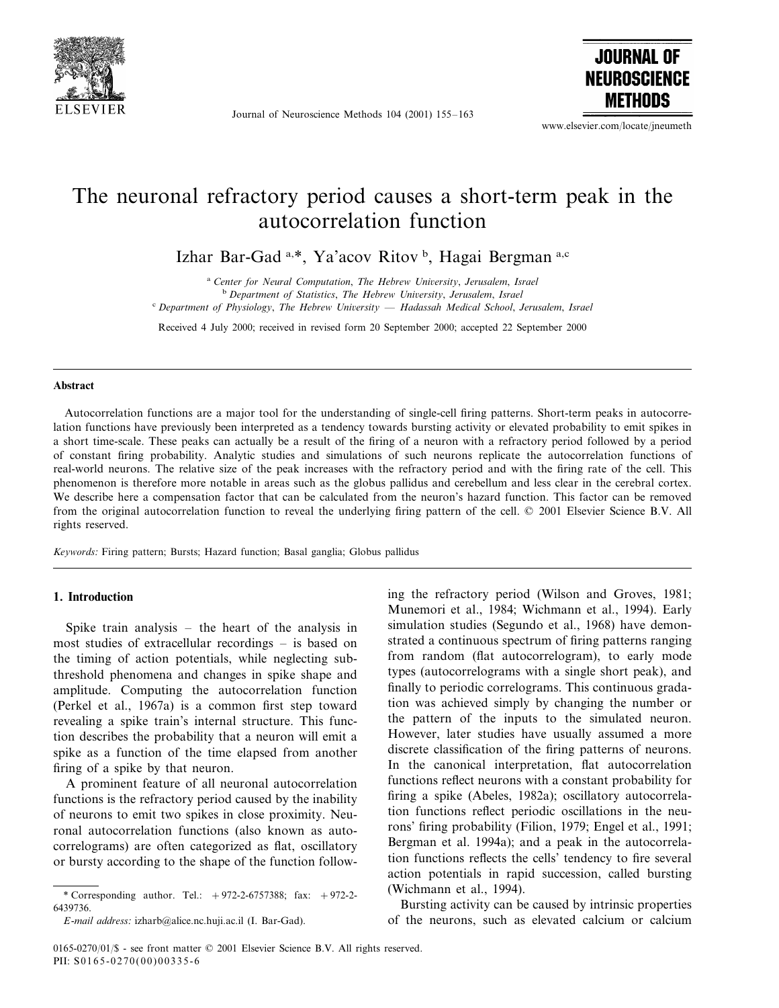

Journal of Neuroscience Methods 104 (2001) 155–163



www.elsevier.com/locate/jneumeth

# The neuronal refractory period causes a short-term peak in the autocorrelation function

Izhar Bar-Gad<sup>a,\*</sup>, Ya'acov Ritov<sup>b</sup>, Hagai Bergman<sup>a,c</sup>

<sup>a</sup> Center for Neural Computation, The Hebrew University, Jerusalem, Israel

<sup>b</sup> *Department of Statistics*, *The Hebrew Uni*6*ersity*, *Jerusalem*, *Israel*

<sup>c</sup> *Department of Physiology*, *The Hebrew Uni*6*ersity* — *Hadassah Medical School*, *Jerusalem*, *Israel*

Received 4 July 2000; received in revised form 20 September 2000; accepted 22 September 2000

## **Abstract**

Autocorrelation functions are a major tool for the understanding of single-cell firing patterns. Short-term peaks in autocorrelation functions have previously been interpreted as a tendency towards bursting activity or elevated probability to emit spikes in a short time-scale. These peaks can actually be a result of the firing of a neuron with a refractory period followed by a period of constant firing probability. Analytic studies and simulations of such neurons replicate the autocorrelation functions of real-world neurons. The relative size of the peak increases with the refractory period and with the firing rate of the cell. This phenomenon is therefore more notable in areas such as the globus pallidus and cerebellum and less clear in the cerebral cortex. We describe here a compensation factor that can be calculated from the neuron's hazard function. This factor can be removed from the original autocorrelation function to reveal the underlying firing pattern of the cell. © 2001 Elsevier Science B.V. All rights reserved.

*Keywords*: Firing pattern; Bursts; Hazard function; Basal ganglia; Globus pallidus

## **1. Introduction**

Spike train analysis – the heart of the analysis in most studies of extracellular recordings – is based on the timing of action potentials, while neglecting subthreshold phenomena and changes in spike shape and amplitude. Computing the autocorrelation function (Perkel et al., 1967a) is a common first step toward revealing a spike train's internal structure. This function describes the probability that a neuron will emit a spike as a function of the time elapsed from another firing of a spike by that neuron.

A prominent feature of all neuronal autocorrelation functions is the refractory period caused by the inability of neurons to emit two spikes in close proximity. Neuronal autocorrelation functions (also known as autocorrelograms) are often categorized as flat, oscillatory or bursty according to the shape of the function following the refractory period (Wilson and Groves, 1981; Munemori et al., 1984; Wichmann et al., 1994). Early simulation studies (Segundo et al., 1968) have demonstrated a continuous spectrum of firing patterns ranging from random (flat autocorrelogram), to early mode types (autocorrelograms with a single short peak), and finally to periodic correlograms. This continuous gradation was achieved simply by changing the number or the pattern of the inputs to the simulated neuron. However, later studies have usually assumed a more discrete classification of the firing patterns of neurons. In the canonical interpretation, flat autocorrelation functions reflect neurons with a constant probability for firing a spike (Abeles, 1982a); oscillatory autocorrelation functions reflect periodic oscillations in the neurons' firing probability (Filion, 1979; Engel et al., 1991; Bergman et al. 1994a); and a peak in the autocorrelation functions reflects the cells' tendency to fire several action potentials in rapid succession, called bursting (Wichmann et al., 1994).

Bursting activity can be caused by intrinsic properties of the neurons, such as elevated calcium or calcium

<sup>\*</sup> Corresponding author. Tel.: +972-2-6757388; fax: +972-2- 6439736.

*E*-*mail address*: izharb@alice.nc.huji.ac.il (I. Bar-Gad).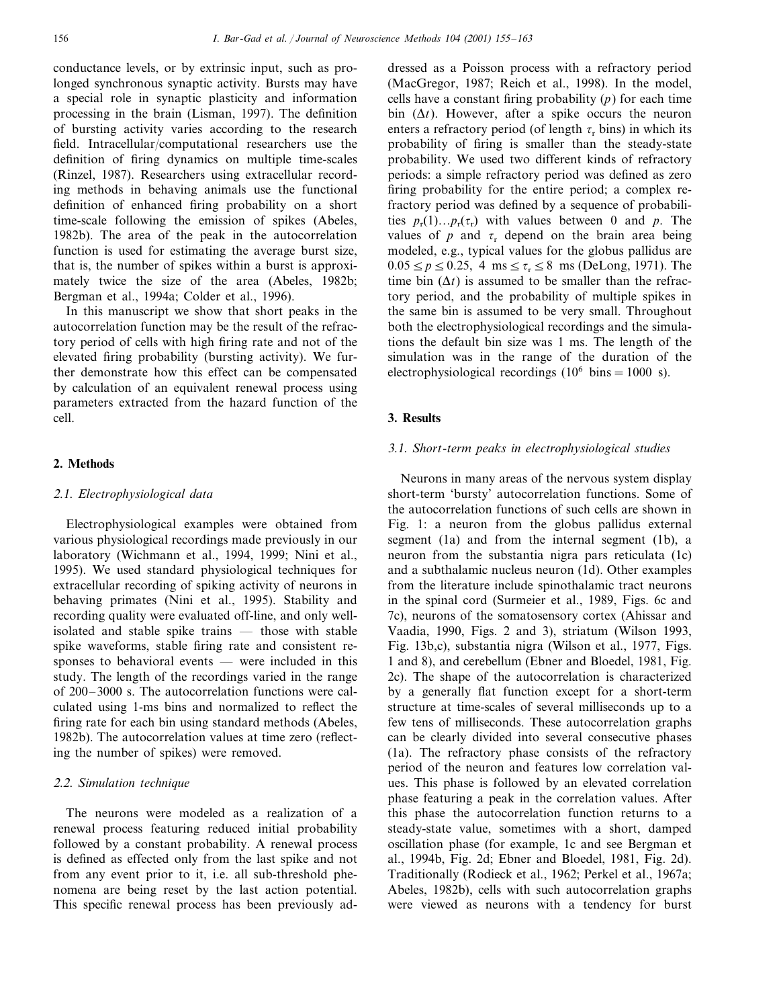conductance levels, or by extrinsic input, such as prolonged synchronous synaptic activity. Bursts may have a special role in synaptic plasticity and information processing in the brain (Lisman, 1997). The definition of bursting activity varies according to the research field. Intracellular/computational researchers use the definition of firing dynamics on multiple time-scales (Rinzel, 1987). Researchers using extracellular recording methods in behaving animals use the functional definition of enhanced firing probability on a short time-scale following the emission of spikes (Abeles, 1982b). The area of the peak in the autocorrelation function is used for estimating the average burst size, that is, the number of spikes within a burst is approximately twice the size of the area (Abeles, 1982b; Bergman et al., 1994a; Colder et al., 1996).

In this manuscript we show that short peaks in the autocorrelation function may be the result of the refractory period of cells with high firing rate and not of the elevated firing probability (bursting activity). We further demonstrate how this effect can be compensated by calculation of an equivalent renewal process using parameters extracted from the hazard function of the cell.

## **2. Methods**

## <sup>2</sup>.1. *Electrophysiological data*

Electrophysiological examples were obtained from various physiological recordings made previously in our laboratory (Wichmann et al., 1994, 1999; Nini et al., 1995). We used standard physiological techniques for extracellular recording of spiking activity of neurons in behaving primates (Nini et al., 1995). Stability and recording quality were evaluated off-line, and only wellisolated and stable spike trains — those with stable spike waveforms, stable firing rate and consistent responses to behavioral events — were included in this study. The length of the recordings varied in the range of 200–3000 s. The autocorrelation functions were calculated using 1-ms bins and normalized to reflect the firing rate for each bin using standard methods (Abeles, 1982b). The autocorrelation values at time zero (reflecting the number of spikes) were removed.

# <sup>2</sup>.2. *Simulation technique*

The neurons were modeled as a realization of a renewal process featuring reduced initial probability followed by a constant probability. A renewal process is defined as effected only from the last spike and not from any event prior to it, i.e. all sub-threshold phenomena are being reset by the last action potential. This specific renewal process has been previously addressed as a Poisson process with a refractory period (MacGregor, 1987; Reich et al., 1998). In the model, cells have a constant firing probability (*p*) for each time bin  $(\Delta t)$ . However, after a spike occurs the neuron enters a refractory period (of length  $\tau_r$  bins) in which its probability of firing is smaller than the steady-state probability. We used two different kinds of refractory periods: a simple refractory period was defined as zero firing probability for the entire period; a complex refractory period was defined by a sequence of probabilities  $p_r(1)...p_r(\tau_r)$  with values between 0 and p. The values of  $p$  and  $\tau_r$  depend on the brain area being modeled, e.g., typical values for the globus pallidus are  $0.05 \le p \le 0.25$ , 4 ms  $\le \tau_r \le 8$  ms (DeLong, 1971). The time bin  $(\Delta t)$  is assumed to be smaller than the refractory period, and the probability of multiple spikes in the same bin is assumed to be very small. Throughout both the electrophysiological recordings and the simulations the default bin size was 1 ms. The length of the simulation was in the range of the duration of the electrophysiological recordings  $(10^6 \text{ bins} = 1000 \text{ s})$ .

## **3. Results**

### 3.1. *Short*-*term peaks in electrophysiological studies*

Neurons in many areas of the nervous system display short-term 'bursty' autocorrelation functions. Some of the autocorrelation functions of such cells are shown in Fig. 1: a neuron from the globus pallidus external segment (1a) and from the internal segment (1b), a neuron from the substantia nigra pars reticulata (1c) and a subthalamic nucleus neuron (1d). Other examples from the literature include spinothalamic tract neurons in the spinal cord (Surmeier et al., 1989, Figs. 6c and 7c), neurons of the somatosensory cortex (Ahissar and Vaadia, 1990, Figs. 2 and 3), striatum (Wilson 1993, Fig. 13b,c), substantia nigra (Wilson et al., 1977, Figs. 1 and 8), and cerebellum (Ebner and Bloedel, 1981, Fig. 2c). The shape of the autocorrelation is characterized by a generally flat function except for a short-term structure at time-scales of several milliseconds up to a few tens of milliseconds. These autocorrelation graphs can be clearly divided into several consecutive phases (1a). The refractory phase consists of the refractory period of the neuron and features low correlation values. This phase is followed by an elevated correlation phase featuring a peak in the correlation values. After this phase the autocorrelation function returns to a steady-state value, sometimes with a short, damped oscillation phase (for example, 1c and see Bergman et al., 1994b, Fig. 2d; Ebner and Bloedel, 1981, Fig. 2d). Traditionally (Rodieck et al., 1962; Perkel et al., 1967a; Abeles, 1982b), cells with such autocorrelation graphs were viewed as neurons with a tendency for burst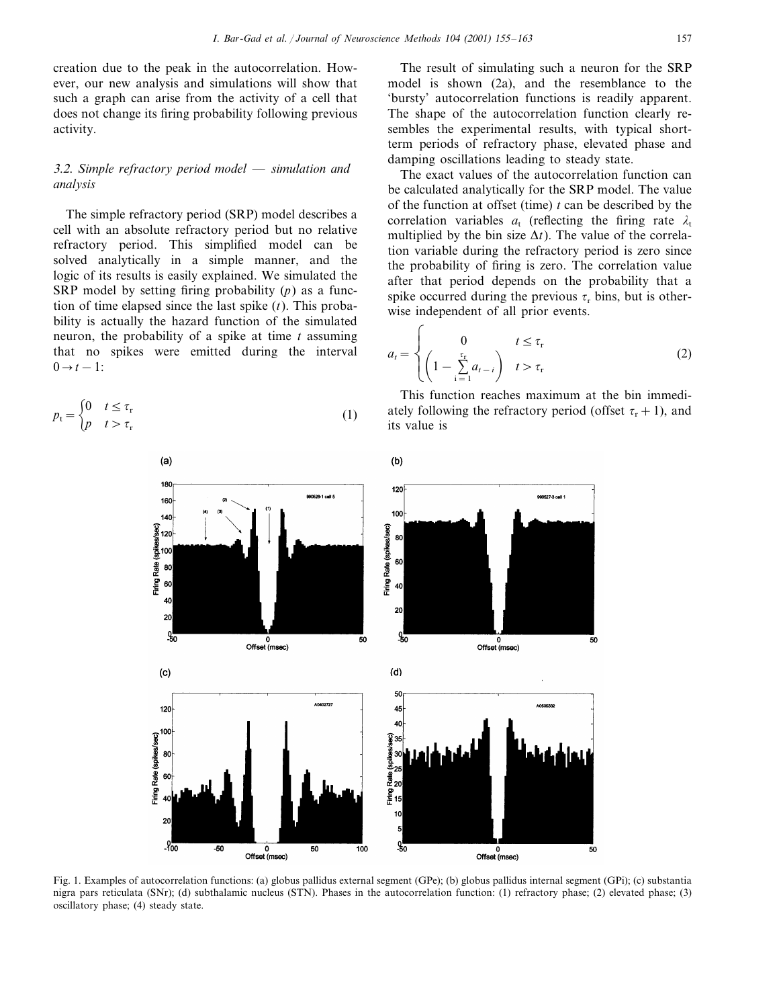creation due to the peak in the autocorrelation. However, our new analysis and simulations will show that such a graph can arise from the activity of a cell that does not change its firing probability following previous activity.

# 3.2. *Simple refractory period model* — *simulation and analysis*

The simple refractory period (SRP) model describes a cell with an absolute refractory period but no relative refractory period. This simplified model can be solved analytically in a simple manner, and the logic of its results is easily explained. We simulated the SRP model by setting firing probability  $(p)$  as a function of time elapsed since the last spike (*t*). This probability is actually the hazard function of the simulated neuron, the probability of a spike at time *t* assuming that no spikes were emitted during the interval  $0 \rightarrow t-1$ :

$$
p_{t} = \begin{cases} 0 & t \leq \tau_{r} \\ p & t > \tau_{r} \end{cases}
$$
 (1)

The result of simulating such a neuron for the SRP model is shown (2a), and the resemblance to the 'bursty' autocorrelation functions is readily apparent. The shape of the autocorrelation function clearly resembles the experimental results, with typical shortterm periods of refractory phase, elevated phase and damping oscillations leading to steady state.

The exact values of the autocorrelation function can be calculated analytically for the SRP model. The value of the function at offset (time) *t* can be described by the correlation variables  $a_t$  (reflecting the firing rate  $\lambda_t$ multiplied by the bin size  $\Delta t$ ). The value of the correlation variable during the refractory period is zero since the probability of firing is zero. The correlation value after that period depends on the probability that a spike occurred during the previous  $\tau_r$  bins, but is otherwise independent of all prior events.

$$
a_{t} = \begin{cases} 0 & t \leq \tau_{r} \\ \left(1 - \sum_{i=1}^{\tau_{r}} a_{t-i}\right) & t > \tau_{r} \end{cases}
$$
 (2)

This function reaches maximum at the bin immediately following the refractory period (offset  $\tau_r+1$ ), and its value is



Fig. 1. Examples of autocorrelation functions: (a) globus pallidus external segment (GPe); (b) globus pallidus internal segment (GPi); (c) substantia nigra pars reticulata (SNr); (d) subthalamic nucleus (STN). Phases in the autocorrelation function: (1) refractory phase; (2) elevated phase; (3) oscillatory phase; (4) steady state.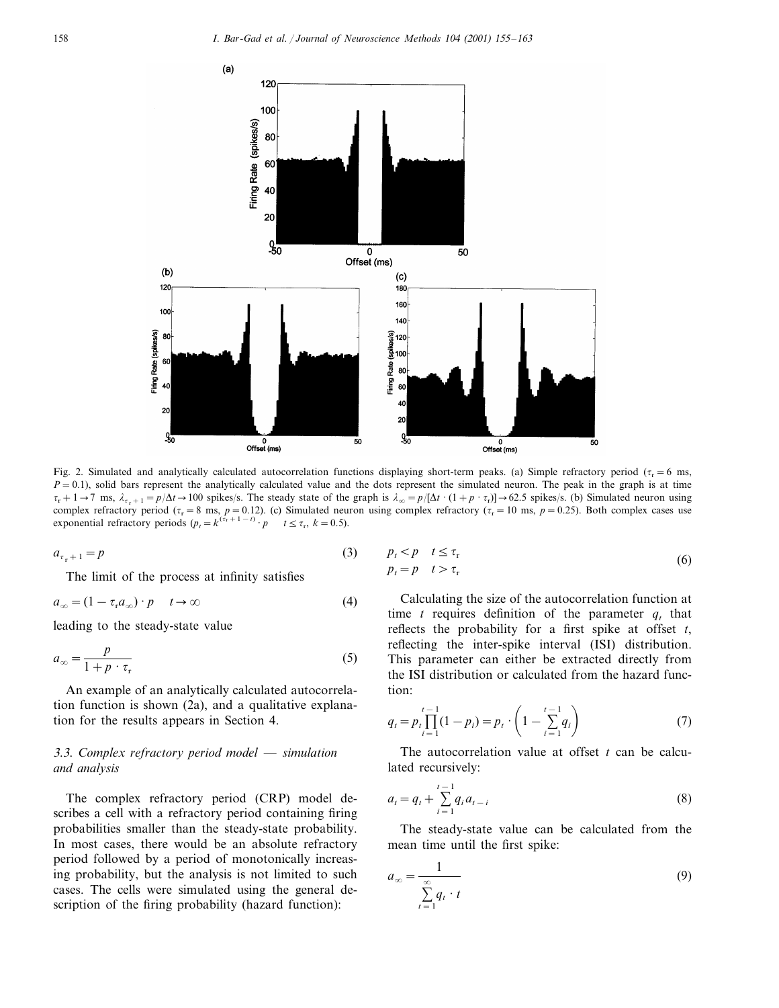

Fig. 2. Simulated and analytically calculated autocorrelation functions displaying short-term peaks. (a) Simple refractory period ( $\tau_r = 6$  ms,  $P=0.1$ ), solid bars represent the analytically calculated value and the dots represent the simulated neuron. The peak in the graph is at time  $\tau_r + 1 \rightarrow 7$  ms,  $\lambda_{\tau_r+1} = p/\Delta t \rightarrow 100$  spikes/s. The steady state of the graph is  $\lambda_{\infty} = p/[\Delta t \cdot (1 + p \cdot \tau_r)] \rightarrow 62.5$  spikes/s. (b) Simulated neuron using complex refractory period ( $\tau_r = 8$  ms,  $p = 0.12$ ). (c) Simulated neuron using complex refractory ( $\tau_r = 10$  ms,  $p = 0.25$ ). Both complex cases use exponential refractory periods ( $p_t = k^{(\tau_r + 1 - t)} \cdot p$   $t \le \tau_r$ ,  $k = 0.5$ ).

$$
a_{\tau_{r}+1} = p \tag{3}
$$

The limit of the process at infinity satisfies

$$
a_{\infty} = (1 - \tau_{r} a_{\infty}) \cdot p \qquad t \to \infty \tag{4}
$$

leading to the steady-state value

$$
a_{\infty} = \frac{p}{1 + p \cdot \tau_{\rm r}}\tag{5}
$$

An example of an analytically calculated autocorrelation function is shown (2a), and a qualitative explanation for the results appears in Section 4.

# 3.3. *Complex refractory period model* — *simulation and analysis*

The complex refractory period (CRP) model describes a cell with a refractory period containing firing probabilities smaller than the steady-state probability. In most cases, there would be an absolute refractory period followed by a period of monotonically increasing probability, but the analysis is not limited to such cases. The cells were simulated using the general description of the firing probability (hazard function):

$$
p_t < p \quad t \le \tau_r \\
p_t = p \quad t > \tau_r\n \tag{6}
$$

Calculating the size of the autocorrelation function at time *t* requires definition of the parameter  $q_t$  that reflects the probability for a first spike at offset *t*, reflecting the inter-spike interval (ISI) distribution. This parameter can either be extracted directly from the ISI distribution or calculated from the hazard function:

$$
q_{t} = p_{t} \prod_{i=1}^{t-1} (1 - p_{i}) = p_{t} \cdot \left(1 - \sum_{i=1}^{t-1} q_{i}\right)
$$
 (7)

The autocorrelation value at offset *t* can be calculated recursively:

$$
a_{t} = q_{t} + \sum_{i=1}^{t-1} q_{i} a_{t-i}
$$
\n(8)

The steady-state value can be calculated from the mean time until the first spike:

$$
a_{\infty} = \frac{1}{\sum_{t=1}^{\infty} q_t \cdot t}
$$
 (9)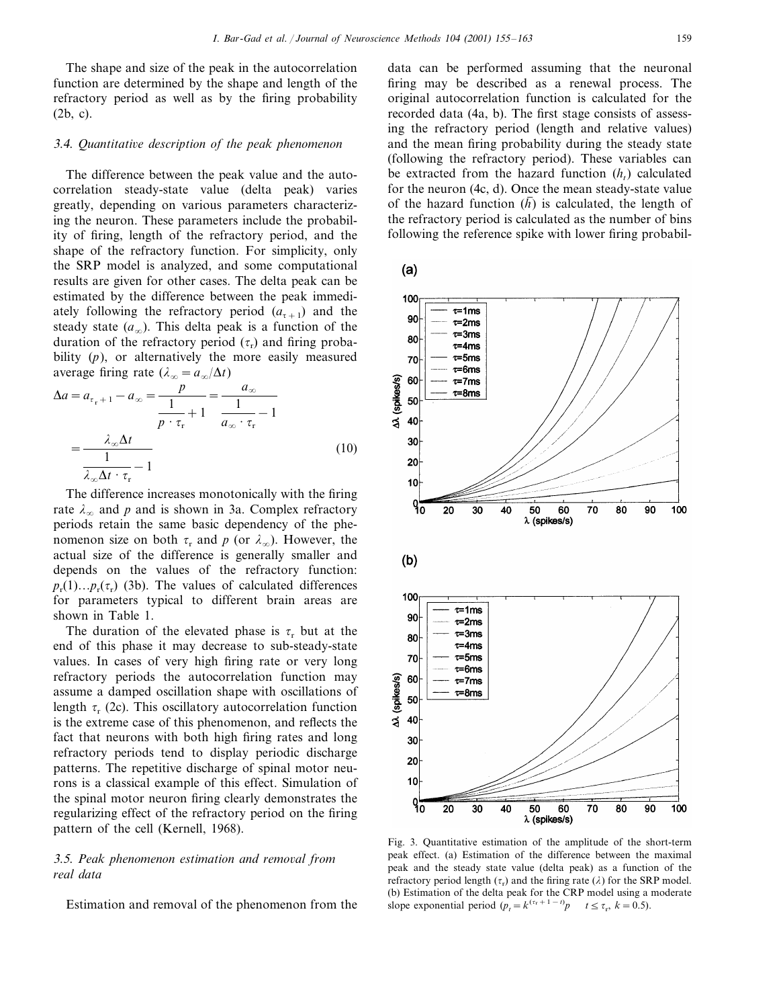The shape and size of the peak in the autocorrelation function are determined by the shape and length of the refractory period as well as by the firing probability (2b, c).

## 3.4. Quantitative description of the peak phenomenon

The difference between the peak value and the autocorrelation steady-state value (delta peak) varies greatly, depending on various parameters characterizing the neuron. These parameters include the probability of firing, length of the refractory period, and the shape of the refractory function. For simplicity, only the SRP model is analyzed, and some computational results are given for other cases. The delta peak can be estimated by the difference between the peak immediately following the refractory period  $(a_{\tau+1})$  and the steady state  $(a_{\infty})$ . This delta peak is a function of the duration of the refractory period  $(\tau_r)$  and firing probability (*p*), or alternatively the more easily measured average firing rate  $(\lambda_{\infty} = a_{\infty}/\Delta t)$ 

$$
\Delta a = a_{\tau_{\rm r}+1} - a_{\infty} = \frac{p}{\frac{1}{p \cdot \tau_{\rm r}} + 1} = \frac{a_{\infty}}{\frac{1}{a_{\infty} \cdot \tau_{\rm r}} - 1}
$$

$$
= \frac{\lambda_{\infty} \Delta t}{\frac{1}{\lambda_{\infty} \Delta t \cdot \tau_{\rm r}} - 1} \tag{10}
$$

The difference increases monotonically with the firing rate  $\lambda_{\infty}$  and *p* and is shown in 3a. Complex refractory periods retain the same basic dependency of the phenomenon size on both  $\tau_r$  and *p* (or  $\lambda_{\infty}$ ). However, the actual size of the difference is generally smaller and depends on the values of the refractory function:  $p_r(1)...p_r(\tau_r)$  (3b). The values of calculated differences for parameters typical to different brain areas are shown in Table 1.

The duration of the elevated phase is  $\tau_r$  but at the end of this phase it may decrease to sub-steady-state values. In cases of very high firing rate or very long refractory periods the autocorrelation function may assume a damped oscillation shape with oscillations of length  $\tau_r$  (2c). This oscillatory autocorrelation function is the extreme case of this phenomenon, and reflects the fact that neurons with both high firing rates and long refractory periods tend to display periodic discharge patterns. The repetitive discharge of spinal motor neurons is a classical example of this effect. Simulation of the spinal motor neuron firing clearly demonstrates the regularizing effect of the refractory period on the firing pattern of the cell (Kernell, 1968).

# <sup>3</sup>.5. *Peak phenomenon estimation and remo*6*al from real data*

Estimation and removal of the phenomenon from the

data can be performed assuming that the neuronal firing may be described as a renewal process. The original autocorrelation function is calculated for the recorded data (4a, b). The first stage consists of assessing the refractory period (length and relative values) and the mean firing probability during the steady state (following the refractory period). These variables can be extracted from the hazard function  $(h_t)$  calculated for the neuron (4c, d). Once the mean steady-state value of the hazard function  $(h)$  is calculated, the length of the refractory period is calculated as the number of bins following the reference spike with lower firing probabil-

 $(a)$ 



Fig. 3. Quantitative estimation of the amplitude of the short-term peak effect. (a) Estimation of the difference between the maximal peak and the steady state value (delta peak) as a function of the refractory period length  $(\tau_r)$  and the firing rate ( $\lambda$ ) for the SRP model. (b) Estimation of the delta peak for the CRP model using a moderate slope exponential period  $(p_t = k^{(\tau_t + 1 - t)}p \quad t \le \tau_t, k = 0.5)$ .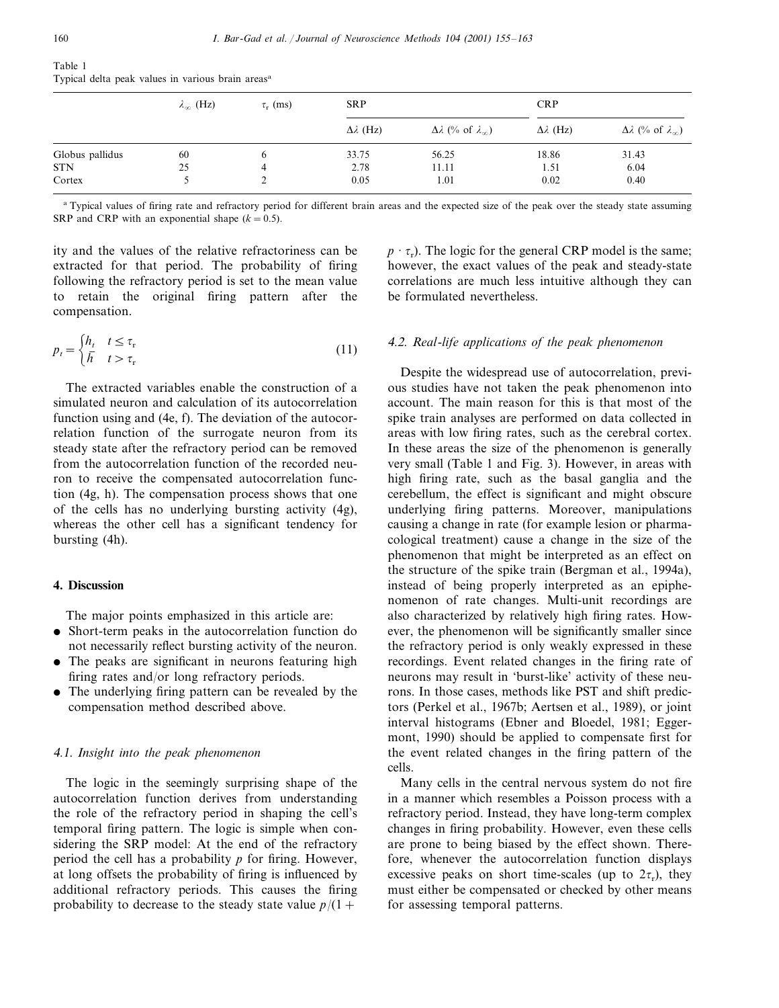| Typical della peak values in various brain areas |                         |                     |                       |                                            |                      |                                            |
|--------------------------------------------------|-------------------------|---------------------|-----------------------|--------------------------------------------|----------------------|--------------------------------------------|
|                                                  | $\lambda_{\infty}$ (Hz) | $\tau_{\rm r}$ (ms) | <b>SRP</b>            |                                            | <b>CRP</b>           |                                            |
|                                                  |                         |                     | $\Delta \lambda$ (Hz) | $\Delta\lambda$ (% of $\lambda_{\infty}$ ) | $\Delta\lambda$ (Hz) | $\Delta\lambda$ (% of $\lambda_{\infty}$ ) |
| Globus pallidus                                  | 60                      |                     | 33.75                 | 56.25                                      | 18.86                | 31.43                                      |
| <b>STN</b>                                       | 25                      | 4                   | 2.78                  | 11.11                                      | 1.51                 | 6.04                                       |
| Cortex                                           |                         |                     | 0.05                  | 1.01                                       | 0.02                 | 0.40                                       |

Table 1 Typical delta peak values in various brain areas<sup>a</sup>

<sup>a</sup> Typical values of firing rate and refractory period for different brain areas and the expected size of the peak over the steady state assuming SRP and CRP with an exponential shape  $(k = 0.5)$ .

ity and the values of the relative refractoriness can be extracted for that period. The probability of firing following the refractory period is set to the mean value to retain the original firing pattern after the compensation.

$$
p_t = \begin{cases} h_t & t \le \tau_r \\ \bar{h} & t > \tau_r \end{cases}
$$
 (11)

The extracted variables enable the construction of a simulated neuron and calculation of its autocorrelation function using and (4e, f). The deviation of the autocorrelation function of the surrogate neuron from its steady state after the refractory period can be removed from the autocorrelation function of the recorded neuron to receive the compensated autocorrelation function (4g, h). The compensation process shows that one of the cells has no underlying bursting activity (4g), whereas the other cell has a significant tendency for bursting (4h).

## **4. Discussion**

The major points emphasized in this article are:

- Short-term peaks in the autocorrelation function do not necessarily reflect bursting activity of the neuron.
- The peaks are significant in neurons featuring high firing rates and/or long refractory periods.
- The underlying firing pattern can be revealed by the compensation method described above.

## <sup>4</sup>.1. *Insight into the peak phenomenon*

The logic in the seemingly surprising shape of the autocorrelation function derives from understanding the role of the refractory period in shaping the cell's temporal firing pattern. The logic is simple when considering the SRP model: At the end of the refractory period the cell has a probability *p* for firing. However, at long offsets the probability of firing is influenced by additional refractory periods. This causes the firing probability to decrease to the steady state value  $p/(1 +$ 

 $p \cdot \tau_r$ ). The logic for the general CRP model is the same; however, the exact values of the peak and steady-state correlations are much less intuitive although they can be formulated nevertheless.

## <sup>4</sup>.2. *Real*-*life applications of the peak phenomenon*

Despite the widespread use of autocorrelation, previous studies have not taken the peak phenomenon into account. The main reason for this is that most of the spike train analyses are performed on data collected in areas with low firing rates, such as the cerebral cortex. In these areas the size of the phenomenon is generally very small (Table 1 and Fig. 3). However, in areas with high firing rate, such as the basal ganglia and the cerebellum, the effect is significant and might obscure underlying firing patterns. Moreover, manipulations causing a change in rate (for example lesion or pharmacological treatment) cause a change in the size of the phenomenon that might be interpreted as an effect on the structure of the spike train (Bergman et al., 1994a), instead of being properly interpreted as an epiphenomenon of rate changes. Multi-unit recordings are also characterized by relatively high firing rates. However, the phenomenon will be significantly smaller since the refractory period is only weakly expressed in these recordings. Event related changes in the firing rate of neurons may result in 'burst-like' activity of these neurons. In those cases, methods like PST and shift predictors (Perkel et al., 1967b; Aertsen et al., 1989), or joint interval histograms (Ebner and Bloedel, 1981; Eggermont, 1990) should be applied to compensate first for the event related changes in the firing pattern of the cells.

Many cells in the central nervous system do not fire in a manner which resembles a Poisson process with a refractory period. Instead, they have long-term complex changes in firing probability. However, even these cells are prone to being biased by the effect shown. Therefore, whenever the autocorrelation function displays excessive peaks on short time-scales (up to  $2\tau_r$ ), they must either be compensated or checked by other means for assessing temporal patterns.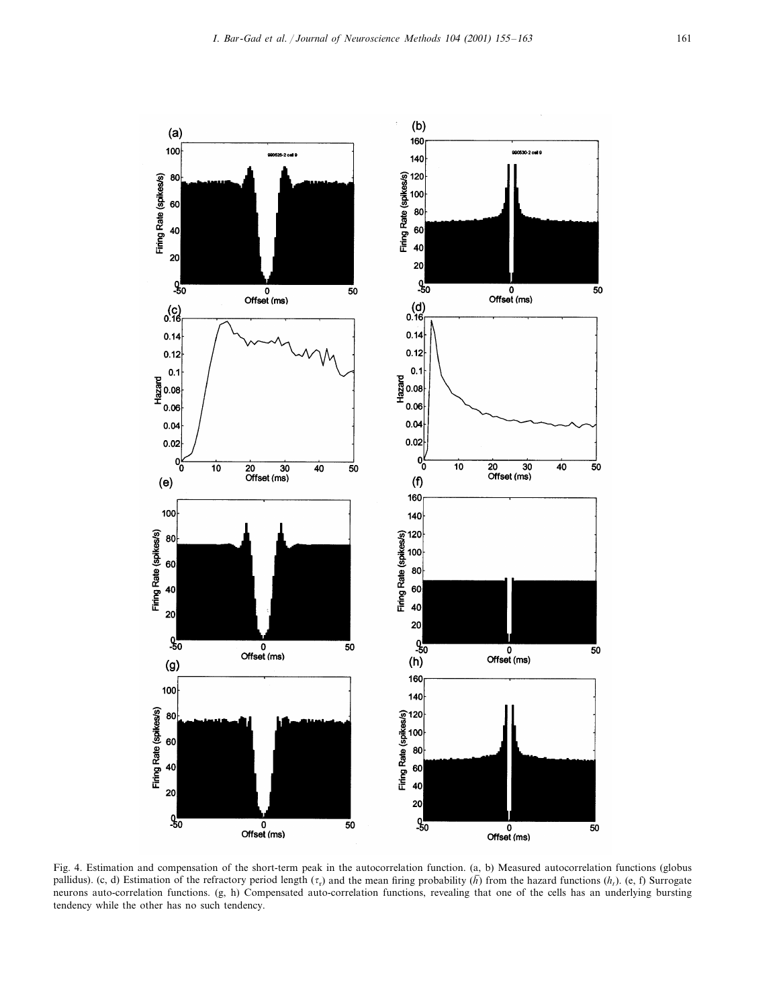

Fig. 4. Estimation and compensation of the short-term peak in the autocorrelation function. (a, b) Measured autocorrelation functions (globus pallidus). (c, d) Estimation of the refractory period length ( $\tau_r$ ) and the mean firing probability ( $\bar{h}$ ) from the hazard functions ( $h_t$ ). (e, f) Surrogate neurons auto-correlation functions. (g, h) Compensated auto-correlation functions, revealing that one of the cells has an underlying bursting tendency while the other has no such tendency.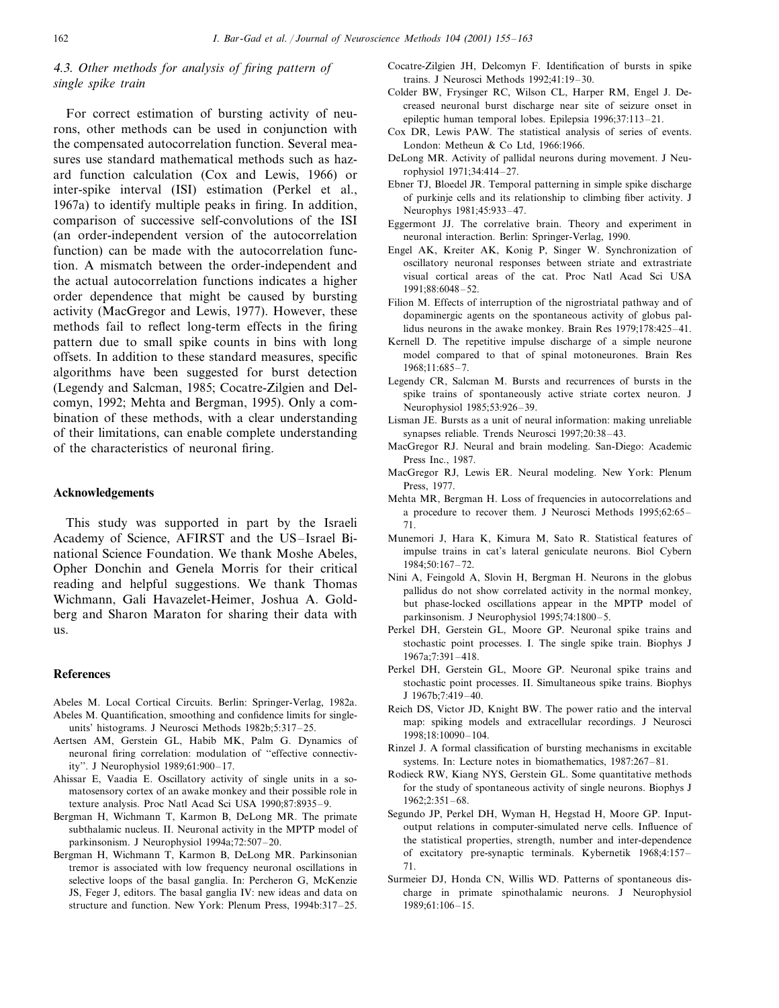# <sup>4</sup>.3. *Other methods for analysis of firing pattern of single spike train*

For correct estimation of bursting activity of neurons, other methods can be used in conjunction with the compensated autocorrelation function. Several measures use standard mathematical methods such as hazard function calculation (Cox and Lewis, 1966) or inter-spike interval (ISI) estimation (Perkel et al., 1967a) to identify multiple peaks in firing. In addition, comparison of successive self-convolutions of the ISI (an order-independent version of the autocorrelation function) can be made with the autocorrelation function. A mismatch between the order-independent and the actual autocorrelation functions indicates a higher order dependence that might be caused by bursting activity (MacGregor and Lewis, 1977). However, these methods fail to reflect long-term effects in the firing pattern due to small spike counts in bins with long offsets. In addition to these standard measures, specific algorithms have been suggested for burst detection (Legendy and Salcman, 1985; Cocatre-Zilgien and Delcomyn, 1992; Mehta and Bergman, 1995). Only a combination of these methods, with a clear understanding of their limitations, can enable complete understanding of the characteristics of neuronal firing.

#### **Acknowledgements**

This study was supported in part by the Israeli Academy of Science, AFIRST and the US–Israel Binational Science Foundation. We thank Moshe Abeles, Opher Donchin and Genela Morris for their critical reading and helpful suggestions. We thank Thomas Wichmann, Gali Havazelet-Heimer, Joshua A. Goldberg and Sharon Maraton for sharing their data with us.

#### **References**

- Abeles M. Local Cortical Circuits. Berlin: Springer-Verlag, 1982a. Abeles M. Quantification, smoothing and confidence limits for single-
- units' histograms. J Neurosci Methods 1982b;5:317–25. Aertsen AM, Gerstein GL, Habib MK, Palm G. Dynamics of
- neuronal firing correlation: modulation of ''effective connectivity''. J Neurophysiol 1989;61:900–17.
- Ahissar E, Vaadia E. Oscillatory activity of single units in a somatosensory cortex of an awake monkey and their possible role in texture analysis. Proc Natl Acad Sci USA 1990;87:8935–9.
- Bergman H, Wichmann T, Karmon B, DeLong MR. The primate subthalamic nucleus. II. Neuronal activity in the MPTP model of parkinsonism. J Neurophysiol 1994a;72:507–20.
- Bergman H, Wichmann T, Karmon B, DeLong MR. Parkinsonian tremor is associated with low frequency neuronal oscillations in selective loops of the basal ganglia. In: Percheron G, McKenzie JS, Feger J, editors. The basal ganglia IV: new ideas and data on structure and function. New York: Plenum Press, 1994b:317–25.
- Cocatre-Zilgien JH, Delcomyn F. Identification of bursts in spike trains. J Neurosci Methods 1992;41:19–30.
- Colder BW, Frysinger RC, Wilson CL, Harper RM, Engel J. Decreased neuronal burst discharge near site of seizure onset in epileptic human temporal lobes. Epilepsia 1996;37:113–21.
- Cox DR, Lewis PAW. The statistical analysis of series of events. London: Metheun & Co Ltd, 1966:1966.
- DeLong MR. Activity of pallidal neurons during movement. J Neurophysiol 1971;34:414–27.
- Ebner TJ, Bloedel JR. Temporal patterning in simple spike discharge of purkinje cells and its relationship to climbing fiber activity. J Neurophys 1981;45:933–47.
- Eggermont JJ. The correlative brain. Theory and experiment in neuronal interaction. Berlin: Springer-Verlag, 1990.
- Engel AK, Kreiter AK, Konig P, Singer W. Synchronization of oscillatory neuronal responses between striate and extrastriate visual cortical areas of the cat. Proc Natl Acad Sci USA 1991;88:6048–52.
- Filion M. Effects of interruption of the nigrostriatal pathway and of dopaminergic agents on the spontaneous activity of globus pallidus neurons in the awake monkey. Brain Res 1979;178:425–41.
- Kernell D. The repetitive impulse discharge of a simple neurone model compared to that of spinal motoneurones. Brain Res 1968;11:685–7.
- Legendy CR, Salcman M. Bursts and recurrences of bursts in the spike trains of spontaneously active striate cortex neuron. J Neurophysiol 1985;53:926–39.
- Lisman JE. Bursts as a unit of neural information: making unreliable synapses reliable. Trends Neurosci 1997;20:38–43.
- MacGregor RJ. Neural and brain modeling. San-Diego: Academic Press Inc., 1987.
- MacGregor RJ, Lewis ER. Neural modeling. New York: Plenum Press, 1977.
- Mehta MR, Bergman H. Loss of frequencies in autocorrelations and a procedure to recover them. J Neurosci Methods 1995;62:65– 71.
- Munemori J, Hara K, Kimura M, Sato R. Statistical features of impulse trains in cat's lateral geniculate neurons. Biol Cybern  $1984.50.167 - 72$ .
- Nini A, Feingold A, Slovin H, Bergman H. Neurons in the globus pallidus do not show correlated activity in the normal monkey, but phase-locked oscillations appear in the MPTP model of parkinsonism. J Neurophysiol 1995;74:1800–5.
- Perkel DH, Gerstein GL, Moore GP. Neuronal spike trains and stochastic point processes. I. The single spike train. Biophys J 1967a;7:391–418.
- Perkel DH, Gerstein GL, Moore GP. Neuronal spike trains and stochastic point processes. II. Simultaneous spike trains. Biophys J 1967b;7:419–40.
- Reich DS, Victor JD, Knight BW. The power ratio and the interval map: spiking models and extracellular recordings. J Neurosci 1998;18:10090–104.
- Rinzel J. A formal classification of bursting mechanisms in excitable systems. In: Lecture notes in biomathematics, 1987:267–81.
- Rodieck RW, Kiang NYS, Gerstein GL. Some quantitative methods for the study of spontaneous activity of single neurons. Biophys J 1962;2:351–68.
- Segundo JP, Perkel DH, Wyman H, Hegstad H, Moore GP. Inputoutput relations in computer-simulated nerve cells. Influence of the statistical properties, strength, number and inter-dependence of excitatory pre-synaptic terminals. Kybernetik 1968;4:157– 71.
- Surmeier DJ, Honda CN, Willis WD. Patterns of spontaneous discharge in primate spinothalamic neurons. J Neurophysiol 1989;61:106–15.